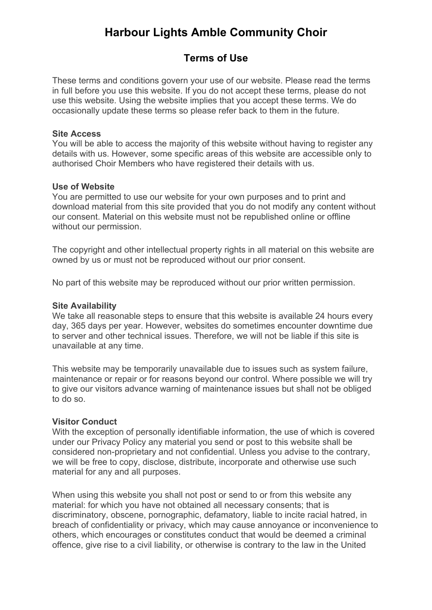# **Harbour Lights Amble Community Choir**

# **Terms of Use**

These terms and conditions govern your use of our website. Please read the terms in full before you use this website. If you do not accept these terms, please do not use this website. Using the website implies that you accept these terms. We do occasionally update these terms so please refer back to them in the future.

### **Site Access**

You will be able to access the majority of this website without having to register any details with us. However, some specific areas of this website are accessible only to authorised Choir Members who have registered their details with us.

# **Use of Website**

You are permitted to use our website for your own purposes and to print and download material from this site provided that you do not modify any content without our consent. Material on this website must not be republished online or offline without our permission.

The copyright and other intellectual property rights in all material on this website are owned by us or must not be reproduced without our prior consent.

No part of this website may be reproduced without our prior written permission.

### **Site Availability**

We take all reasonable steps to ensure that this website is available 24 hours every day, 365 days per year. However, websites do sometimes encounter downtime due to server and other technical issues. Therefore, we will not be liable if this site is unavailable at any time.

This website may be temporarily unavailable due to issues such as system failure, maintenance or repair or for reasons beyond our control. Where possible we will try to give our visitors advance warning of maintenance issues but shall not be obliged to do so.

# **Visitor Conduct**

With the exception of personally identifiable information, the use of which is covered under our Privacy Policy any material you send or post to this website shall be considered non-proprietary and not confidential. Unless you advise to the contrary, we will be free to copy, disclose, distribute, incorporate and otherwise use such material for any and all purposes.

When using this website you shall not post or send to or from this website any material: for which you have not obtained all necessary consents; that is discriminatory, obscene, pornographic, defamatory, liable to incite racial hatred, in breach of confidentiality or privacy, which may cause annoyance or inconvenience to others, which encourages or constitutes conduct that would be deemed a criminal offence, give rise to a civil liability, or otherwise is contrary to the law in the United